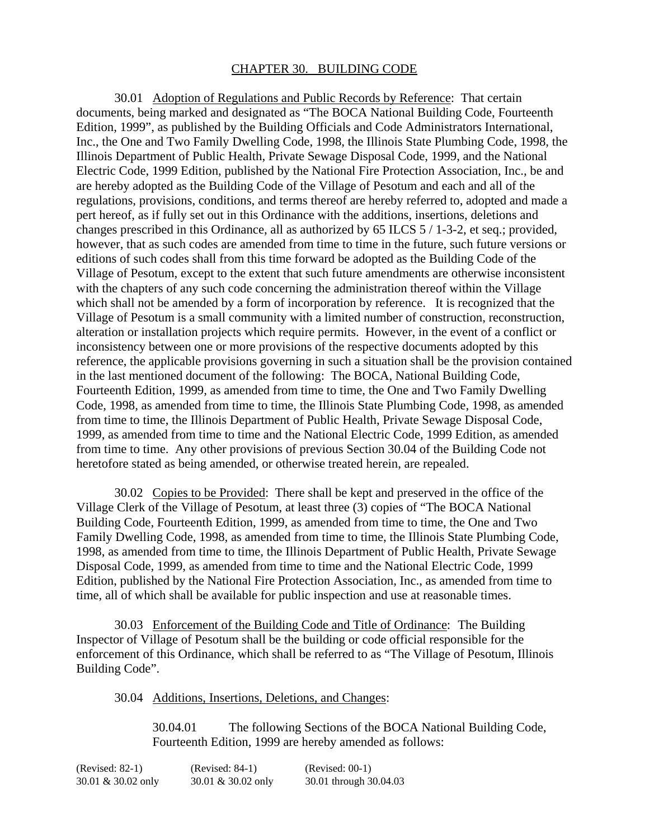## CHAPTER 30. BUILDING CODE

30.01 Adoption of Regulations and Public Records by Reference: That certain documents, being marked and designated as "The BOCA National Building Code, Fourteenth Edition, 1999", as published by the Building Officials and Code Administrators International, Inc., the One and Two Family Dwelling Code, 1998, the Illinois State Plumbing Code, 1998, the Illinois Department of Public Health, Private Sewage Disposal Code, 1999, and the National Electric Code, 1999 Edition, published by the National Fire Protection Association, Inc., be and are hereby adopted as the Building Code of the Village of Pesotum and each and all of the regulations, provisions, conditions, and terms thereof are hereby referred to, adopted and made a pert hereof, as if fully set out in this Ordinance with the additions, insertions, deletions and changes prescribed in this Ordinance, all as authorized by 65 ILCS 5 / 1-3-2, et seq.; provided, however, that as such codes are amended from time to time in the future, such future versions or editions of such codes shall from this time forward be adopted as the Building Code of the Village of Pesotum, except to the extent that such future amendments are otherwise inconsistent with the chapters of any such code concerning the administration thereof within the Village which shall not be amended by a form of incorporation by reference. It is recognized that the Village of Pesotum is a small community with a limited number of construction, reconstruction, alteration or installation projects which require permits. However, in the event of a conflict or inconsistency between one or more provisions of the respective documents adopted by this reference, the applicable provisions governing in such a situation shall be the provision contained in the last mentioned document of the following: The BOCA, National Building Code, Fourteenth Edition, 1999, as amended from time to time, the One and Two Family Dwelling Code, 1998, as amended from time to time, the Illinois State Plumbing Code, 1998, as amended from time to time, the Illinois Department of Public Health, Private Sewage Disposal Code, 1999, as amended from time to time and the National Electric Code, 1999 Edition, as amended from time to time. Any other provisions of previous Section 30.04 of the Building Code not heretofore stated as being amended, or otherwise treated herein, are repealed.

30.02 Copies to be Provided: There shall be kept and preserved in the office of the Village Clerk of the Village of Pesotum, at least three (3) copies of "The BOCA National Building Code, Fourteenth Edition, 1999, as amended from time to time, the One and Two Family Dwelling Code, 1998, as amended from time to time, the Illinois State Plumbing Code, 1998, as amended from time to time, the Illinois Department of Public Health, Private Sewage Disposal Code, 1999, as amended from time to time and the National Electric Code, 1999 Edition, published by the National Fire Protection Association, Inc., as amended from time to time, all of which shall be available for public inspection and use at reasonable times.

30.03 Enforcement of the Building Code and Title of Ordinance: The Building Inspector of Village of Pesotum shall be the building or code official responsible for the enforcement of this Ordinance, which shall be referred to as "The Village of Pesotum, Illinois Building Code".

30.04 Additions, Insertions, Deletions, and Changes:

30.04.01 The following Sections of the BOCA National Building Code, Fourteenth Edition, 1999 are hereby amended as follows:

| (Revised: 82-1)    | $(Revised: 84-1)$  | $(Revised: 00-1)$      |
|--------------------|--------------------|------------------------|
| 30.01 & 30.02 only | 30.01 & 30.02 only | 30.01 through 30.04.03 |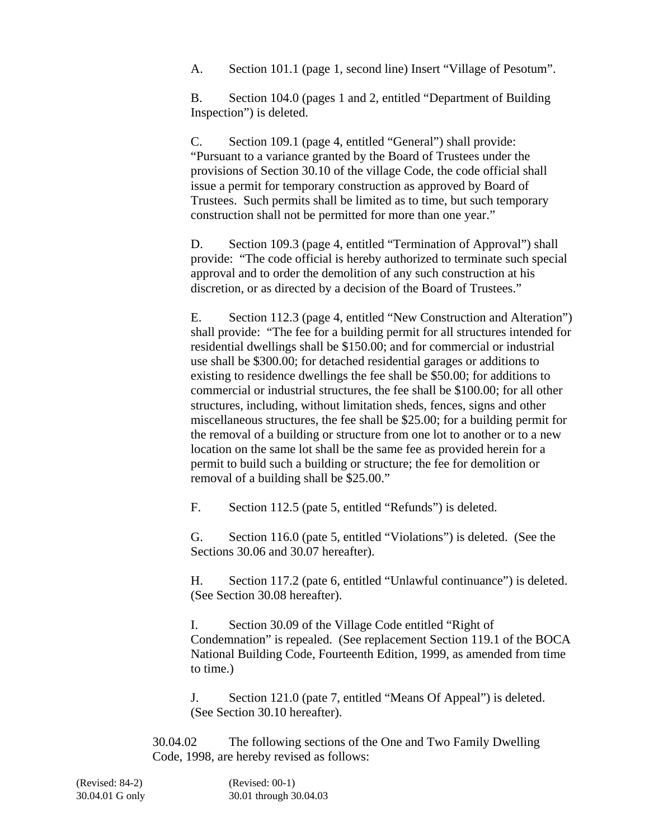A. Section 101.1 (page 1, second line) Insert "Village of Pesotum".

B. Section 104.0 (pages 1 and 2, entitled "Department of Building Inspection") is deleted.

C. Section 109.1 (page 4, entitled "General") shall provide: "Pursuant to a variance granted by the Board of Trustees under the provisions of Section 30.10 of the village Code, the code official shall issue a permit for temporary construction as approved by Board of Trustees. Such permits shall be limited as to time, but such temporary construction shall not be permitted for more than one year."

D. Section 109.3 (page 4, entitled "Termination of Approval") shall provide: "The code official is hereby authorized to terminate such special approval and to order the demolition of any such construction at his discretion, or as directed by a decision of the Board of Trustees."

E. Section 112.3 (page 4, entitled "New Construction and Alteration") shall provide: "The fee for a building permit for all structures intended for residential dwellings shall be \$150.00; and for commercial or industrial use shall be \$300.00; for detached residential garages or additions to existing to residence dwellings the fee shall be \$50.00; for additions to commercial or industrial structures, the fee shall be \$100.00; for all other structures, including, without limitation sheds, fences, signs and other miscellaneous structures, the fee shall be \$25.00; for a building permit for the removal of a building or structure from one lot to another or to a new location on the same lot shall be the same fee as provided herein for a permit to build such a building or structure; the fee for demolition or removal of a building shall be \$25.00."

F. Section 112.5 (pate 5, entitled "Refunds") is deleted.

G. Section 116.0 (pate 5, entitled "Violations") is deleted. (See the Sections 30.06 and 30.07 hereafter).

H. Section 117.2 (pate 6, entitled "Unlawful continuance") is deleted. (See Section 30.08 hereafter).

I. Section 30.09 of the Village Code entitled "Right of Condemnation" is repealed. (See replacement Section 119.1 of the BOCA National Building Code, Fourteenth Edition, 1999, as amended from time to time.)

J. Section 121.0 (pate 7, entitled "Means Of Appeal") is deleted. (See Section 30.10 hereafter).

30.04.02 The following sections of the One and Two Family Dwelling Code, 1998, are hereby revised as follows:

(Revised: 84-2) (Revised: 00-1) 30.04.01 G only 30.01 through 30.04.03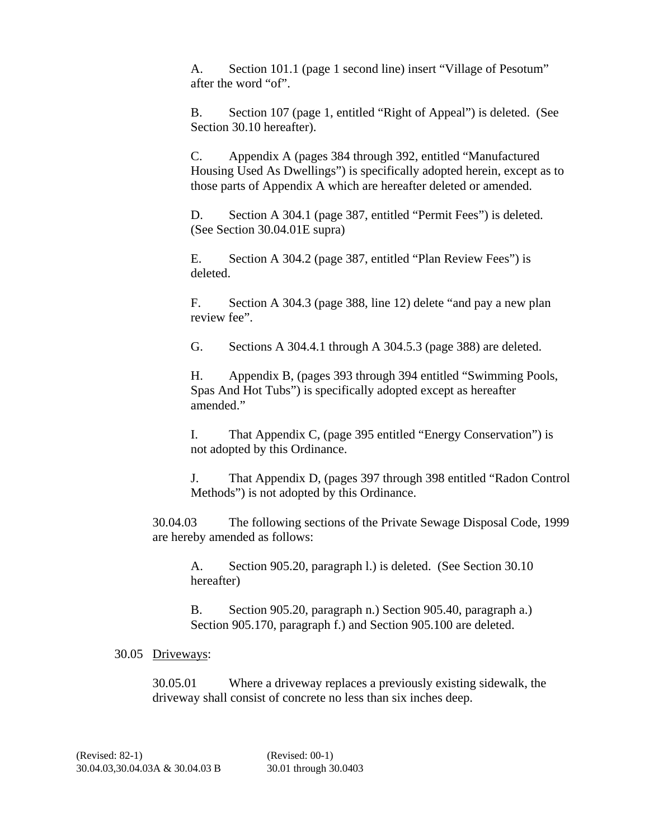A. Section 101.1 (page 1 second line) insert "Village of Pesotum" after the word "of".

B. Section 107 (page 1, entitled "Right of Appeal") is deleted. (See Section 30.10 hereafter).

C. Appendix A (pages 384 through 392, entitled "Manufactured Housing Used As Dwellings") is specifically adopted herein, except as to those parts of Appendix A which are hereafter deleted or amended.

D. Section A 304.1 (page 387, entitled "Permit Fees") is deleted. (See Section 30.04.01E supra)

E. Section A 304.2 (page 387, entitled "Plan Review Fees") is deleted.

F. Section A 304.3 (page 388, line 12) delete "and pay a new plan review fee".

G. Sections A 304.4.1 through A 304.5.3 (page 388) are deleted.

H. Appendix B, (pages 393 through 394 entitled "Swimming Pools, Spas And Hot Tubs") is specifically adopted except as hereafter amended."

I. That Appendix C, (page 395 entitled "Energy Conservation") is not adopted by this Ordinance.

J. That Appendix D, (pages 397 through 398 entitled "Radon Control Methods") is not adopted by this Ordinance.

30.04.03 The following sections of the Private Sewage Disposal Code, 1999 are hereby amended as follows:

A. Section 905.20, paragraph l.) is deleted. (See Section 30.10 hereafter)

B. Section 905.20, paragraph n.) Section 905.40, paragraph a.) Section 905.170, paragraph f.) and Section 905.100 are deleted.

## 30.05 Driveways:

30.05.01 Where a driveway replaces a previously existing sidewalk, the driveway shall consist of concrete no less than six inches deep.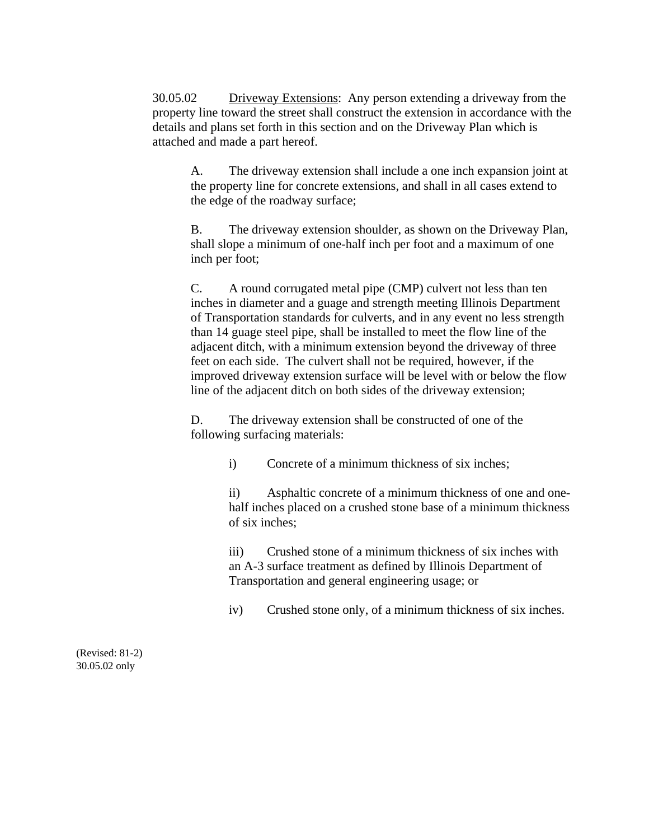30.05.02 Driveway Extensions: Any person extending a driveway from the property line toward the street shall construct the extension in accordance with the details and plans set forth in this section and on the Driveway Plan which is attached and made a part hereof.

A. The driveway extension shall include a one inch expansion joint at the property line for concrete extensions, and shall in all cases extend to the edge of the roadway surface;

B. The driveway extension shoulder, as shown on the Driveway Plan, shall slope a minimum of one-half inch per foot and a maximum of one inch per foot;

C. A round corrugated metal pipe (CMP) culvert not less than ten inches in diameter and a guage and strength meeting Illinois Department of Transportation standards for culverts, and in any event no less strength than 14 guage steel pipe, shall be installed to meet the flow line of the adjacent ditch, with a minimum extension beyond the driveway of three feet on each side. The culvert shall not be required, however, if the improved driveway extension surface will be level with or below the flow line of the adjacent ditch on both sides of the driveway extension;

D. The driveway extension shall be constructed of one of the following surfacing materials:

i) Concrete of a minimum thickness of six inches;

ii) Asphaltic concrete of a minimum thickness of one and onehalf inches placed on a crushed stone base of a minimum thickness of six inches;

iii) Crushed stone of a minimum thickness of six inches with an A-3 surface treatment as defined by Illinois Department of Transportation and general engineering usage; or

iv) Crushed stone only, of a minimum thickness of six inches.

(Revised: 81-2) 30.05.02 only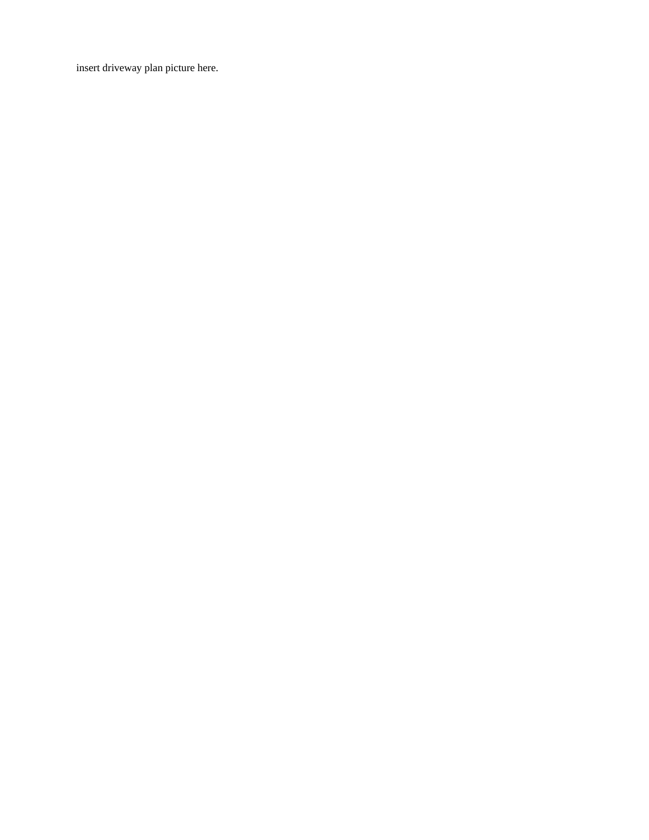insert driveway plan picture here.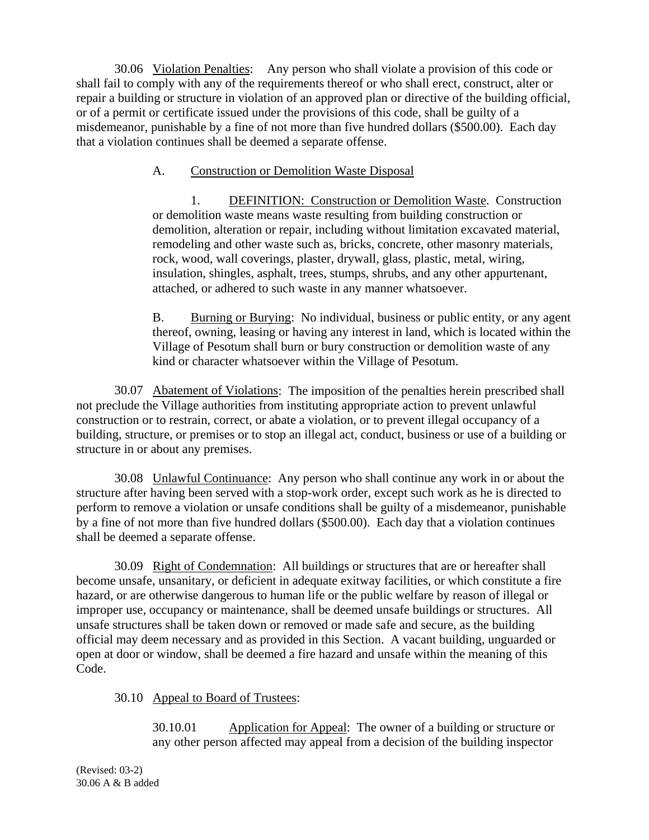30.06 Violation Penalties: Any person who shall violate a provision of this code or shall fail to comply with any of the requirements thereof or who shall erect, construct, alter or repair a building or structure in violation of an approved plan or directive of the building official, or of a permit or certificate issued under the provisions of this code, shall be guilty of a misdemeanor, punishable by a fine of not more than five hundred dollars (\$500.00). Each day that a violation continues shall be deemed a separate offense.

## A. Construction or Demolition Waste Disposal

1. DEFINITION: Construction or Demolition Waste. Construction or demolition waste means waste resulting from building construction or demolition, alteration or repair, including without limitation excavated material, remodeling and other waste such as, bricks, concrete, other masonry materials, rock, wood, wall coverings, plaster, drywall, glass, plastic, metal, wiring, insulation, shingles, asphalt, trees, stumps, shrubs, and any other appurtenant, attached, or adhered to such waste in any manner whatsoever.

B. Burning or Burying: No individual, business or public entity, or any agent thereof, owning, leasing or having any interest in land, which is located within the Village of Pesotum shall burn or bury construction or demolition waste of any kind or character whatsoever within the Village of Pesotum.

30.07 Abatement of Violations: The imposition of the penalties herein prescribed shall not preclude the Village authorities from instituting appropriate action to prevent unlawful construction or to restrain, correct, or abate a violation, or to prevent illegal occupancy of a building, structure, or premises or to stop an illegal act, conduct, business or use of a building or structure in or about any premises.

30.08 Unlawful Continuance: Any person who shall continue any work in or about the structure after having been served with a stop-work order, except such work as he is directed to perform to remove a violation or unsafe conditions shall be guilty of a misdemeanor, punishable by a fine of not more than five hundred dollars (\$500.00). Each day that a violation continues shall be deemed a separate offense.

30.09 Right of Condemnation: All buildings or structures that are or hereafter shall become unsafe, unsanitary, or deficient in adequate exitway facilities, or which constitute a fire hazard, or are otherwise dangerous to human life or the public welfare by reason of illegal or improper use, occupancy or maintenance, shall be deemed unsafe buildings or structures. All unsafe structures shall be taken down or removed or made safe and secure, as the building official may deem necessary and as provided in this Section. A vacant building, unguarded or open at door or window, shall be deemed a fire hazard and unsafe within the meaning of this Code.

## 30.10 Appeal to Board of Trustees:

30.10.01 Application for Appeal: The owner of a building or structure or any other person affected may appeal from a decision of the building inspector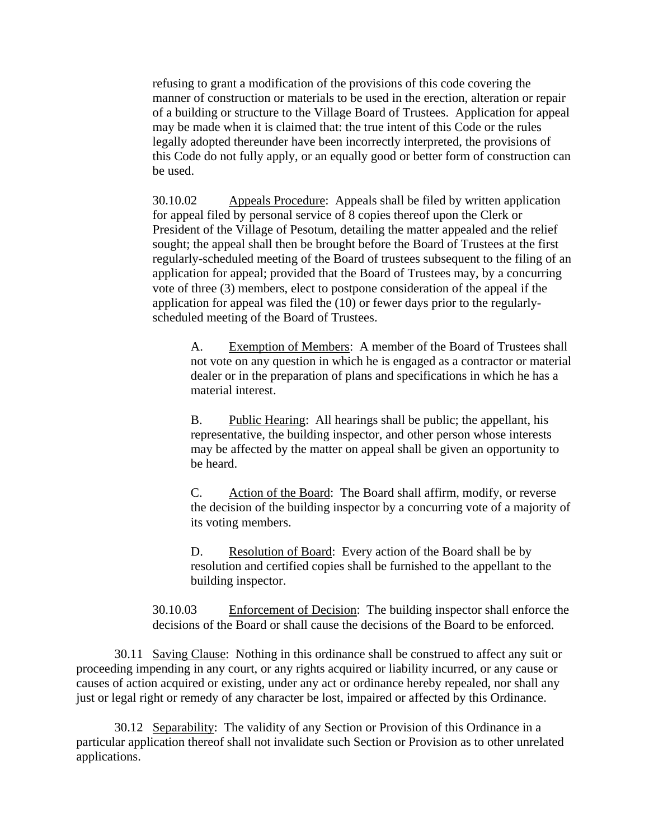refusing to grant a modification of the provisions of this code covering the manner of construction or materials to be used in the erection, alteration or repair of a building or structure to the Village Board of Trustees. Application for appeal may be made when it is claimed that: the true intent of this Code or the rules legally adopted thereunder have been incorrectly interpreted, the provisions of this Code do not fully apply, or an equally good or better form of construction can be used.

30.10.02 Appeals Procedure: Appeals shall be filed by written application for appeal filed by personal service of 8 copies thereof upon the Clerk or President of the Village of Pesotum, detailing the matter appealed and the relief sought; the appeal shall then be brought before the Board of Trustees at the first regularly-scheduled meeting of the Board of trustees subsequent to the filing of an application for appeal; provided that the Board of Trustees may, by a concurring vote of three (3) members, elect to postpone consideration of the appeal if the application for appeal was filed the (10) or fewer days prior to the regularlyscheduled meeting of the Board of Trustees.

A. Exemption of Members: A member of the Board of Trustees shall not vote on any question in which he is engaged as a contractor or material dealer or in the preparation of plans and specifications in which he has a material interest.

B. Public Hearing: All hearings shall be public; the appellant, his representative, the building inspector, and other person whose interests may be affected by the matter on appeal shall be given an opportunity to be heard.

C. Action of the Board: The Board shall affirm, modify, or reverse the decision of the building inspector by a concurring vote of a majority of its voting members.

D. Resolution of Board: Every action of the Board shall be by resolution and certified copies shall be furnished to the appellant to the building inspector.

30.10.03 Enforcement of Decision: The building inspector shall enforce the decisions of the Board or shall cause the decisions of the Board to be enforced.

30.11 Saving Clause: Nothing in this ordinance shall be construed to affect any suit or proceeding impending in any court, or any rights acquired or liability incurred, or any cause or causes of action acquired or existing, under any act or ordinance hereby repealed, nor shall any just or legal right or remedy of any character be lost, impaired or affected by this Ordinance.

30.12 Separability: The validity of any Section or Provision of this Ordinance in a particular application thereof shall not invalidate such Section or Provision as to other unrelated applications.